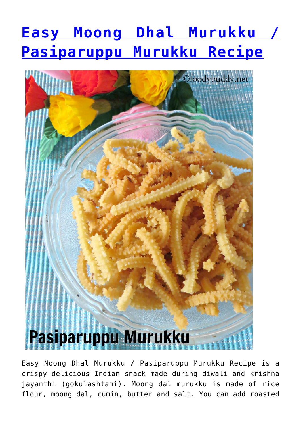# **[Easy Moong Dhal Murukku /](http://foodybuddy.net/2015/09/01/easy-moong-dhal-murukku-pasiparuppu-murukku-recipe.html) [Pasiparuppu Murukku Recipe](http://foodybuddy.net/2015/09/01/easy-moong-dhal-murukku-pasiparuppu-murukku-recipe.html)**



Easy Moong Dhal Murukku / Pasiparuppu Murukku Recipe is a crispy delicious Indian snack made during diwali and krishna jayanthi (gokulashtami). Moong dal murukku is made of rice flour, moong dal, cumin, butter and salt. You can add roasted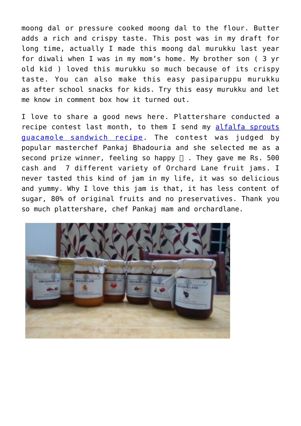moong dal or pressure cooked moong dal to the flour. Butter adds a rich and crispy taste. This post was in my draft for long time, actually I made this moong dal murukku last year for diwali when I was in my mom's home. My brother son ( 3 yr old kid ) loved this murukku so much because of its crispy taste. You can also make this easy pasiparuppu murukku as after school snacks for kids. Try this easy murukku and let me know in comment box how it turned out.

I love to share a good news here. Plattershare conducted a recipe contest last month, to them I send my [alfalfa sprouts](http://foodybuddy.net/2015/07/13/guacamole-and-alfalfa-sprouts-sandwich-recipe.html) [guacamole sandwich recipe](http://foodybuddy.net/2015/07/13/guacamole-and-alfalfa-sprouts-sandwich-recipe.html). The contest was judged by popular masterchef Pankaj Bhadouria and she selected me as a second prize winner, feeling so happy  $\Box$ . They gave me Rs. 500 cash and 7 different variety of Orchard Lane fruit jams. I never tasted this kind of jam in my life, it was so delicious and yummy. Why I love this jam is that, it has less content of sugar, 80% of original fruits and no preservatives. Thank you so much plattershare, chef Pankaj mam and orchardlane.

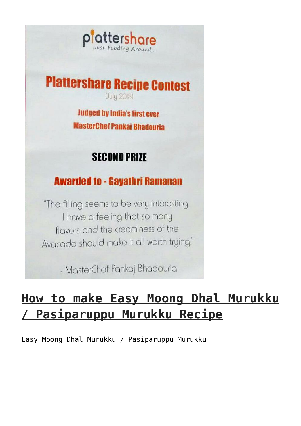

**Plattershare Recipe Contest** (July 2015)

> **Judged by India's first ever MasterChef Pankai Bhadouria**

### **SECOND PRIZE**

#### **Awarded to - Gayathri Ramanan**

"The filling seems to be very interesting. I have a feeling that so many flavors and the creaminess of the Avacado should make it all worth trying."

- MasterChef Pankaj Bhadouria

## **How to make Easy Moong Dhal Murukku / Pasiparuppu Murukku Recipe**

Easy Moong Dhal Murukku / Pasiparuppu Murukku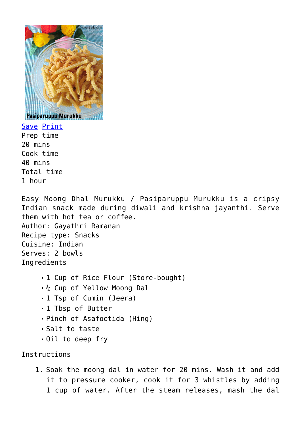

Save [Print](http://foodybuddy.net/easyrecipe-print/3079-0/) Prep time 20 mins Cook time 40 mins Total time 1 hour

Easy Moong Dhal Murukku / Pasiparuppu Murukku is a cripsy Indian snack made during diwali and krishna jayanthi. Serve them with hot tea or coffee. Author: Gayathri Ramanan Recipe type: Snacks Cuisine: Indian Serves: 2 bowls Ingredients

- 1 Cup of Rice Flour (Store-bought)
- $\frac{1}{4}$  Cup of Yellow Moong Dal
- 1 Tsp of Cumin (Jeera)
- 1 Tbsp of Butter
- Pinch of Asafoetida (Hing)
- Salt to taste
- Oil to deep fry

#### Instructions

1. Soak the moong dal in water for 20 mins. Wash it and add it to pressure cooker, cook it for 3 whistles by adding 1 cup of water. After the steam releases, mash the dal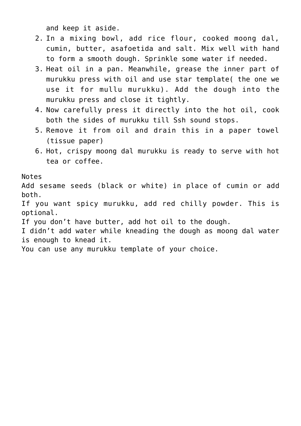and keep it aside.

- 2. In a mixing bowl, add rice flour, cooked moong dal, cumin, butter, asafoetida and salt. Mix well with hand to form a smooth dough. Sprinkle some water if needed.
- 3. Heat oil in a pan. Meanwhile, grease the inner part of murukku press with oil and use star template( the one we use it for mullu murukku). Add the dough into the murukku press and close it tightly.
- 4. Now carefully press it directly into the hot oil, cook both the sides of murukku till Ssh sound stops.
- 5. Remove it from oil and drain this in a paper towel (tissue paper)
- 6. Hot, crispy moong dal murukku is ready to serve with hot tea or coffee.

Notes

Add sesame seeds (black or white) in place of cumin or add both.

If you want spicy murukku, add red chilly powder. This is optional.

If you don't have butter, add hot oil to the dough.

I didn't add water while kneading the dough as moong dal water is enough to knead it.

You can use any murukku template of your choice.